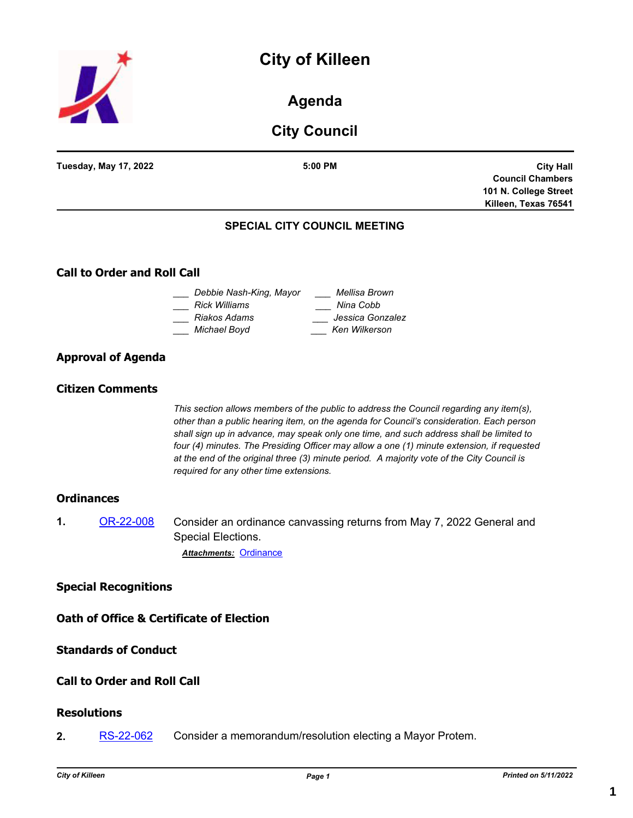# **City of Killeen**



## **Agenda**

## **City Council**

| <b>Tuesday, May 17, 2022</b>       | 5:00 PM                             | <b>City Hall</b>        |
|------------------------------------|-------------------------------------|-------------------------|
|                                    |                                     | <b>Council Chambers</b> |
|                                    |                                     | 101 N. College Street   |
|                                    |                                     | Killeen, Texas 76541    |
|                                    | <b>SPECIAL CITY COUNCIL MEETING</b> |                         |
| <b>Call to Order and Roll Call</b> |                                     |                         |

## **Call to Order and Roll Call**

| Debbie Nash-King, Mayor | Mellisa Brown    |
|-------------------------|------------------|
| Rick Williams           | Nina Cobb        |
| Riakos Adams            | Jessica Gonzalez |
| Michael Boyd            | Ken Wilkerson    |
|                         |                  |

## **Approval of Agenda**

## **Citizen Comments**

*This section allows members of the public to address the Council regarding any item(s), other than a public hearing item, on the agenda for Council's consideration. Each person shall sign up in advance, may speak only one time, and such address shall be limited to four (4) minutes. The Presiding Officer may allow a one (1) minute extension, if requested at the end of the original three (3) minute period. A majority vote of the City Council is required for any other time extensions.*

## **Ordinances**

**1.** [OR-22-008](http://killeen.legistar.com/gateway.aspx?m=l&id=/matter.aspx?key=6107) Consider an ordinance canvassing returns from May 7, 2022 General and Special Elections. *Attachments:* [Ordinance](http://killeen.legistar.com/gateway.aspx?M=F&ID=c44bfbb8-ed78-41b4-af22-d1671222b09d.pdf)

## **Special Recognitions**

**Oath of Office & Certificate of Election**

## **Standards of Conduct**

## **Call to Order and Roll Call**

## **Resolutions**

**2.** [RS-22-062](http://killeen.legistar.com/gateway.aspx?m=l&id=/matter.aspx?key=6108) Consider a memorandum/resolution electing a Mayor Protem.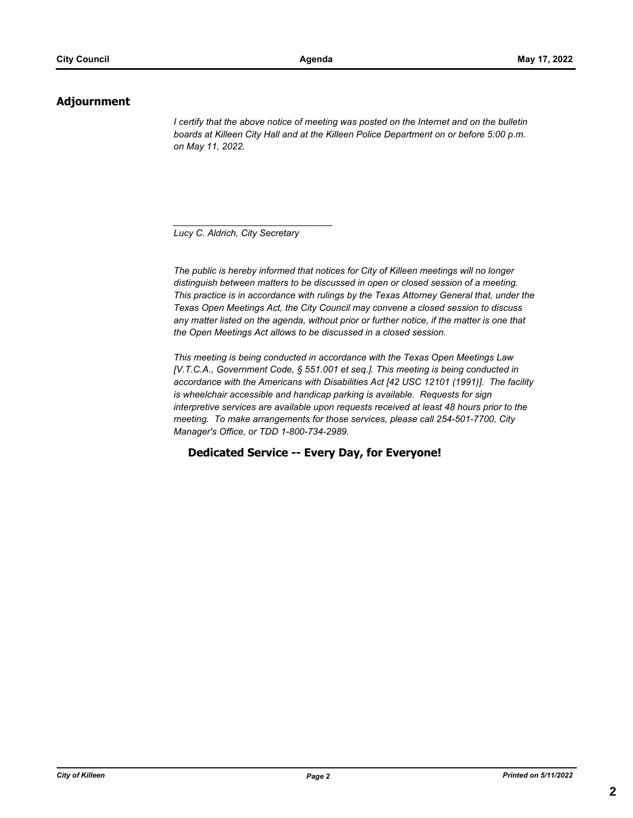## **Adjournment**

*I* certify that the above notice of meeting was posted on the Internet and on the bulletin *boards at Killeen City Hall and at the Killeen Police Department on or before 5:00 p.m. on May 11, 2022.*

*Lucy C. Aldrich, City Secretary* 

*\_\_\_\_\_\_\_\_\_\_\_\_\_\_\_\_\_\_\_\_\_\_\_\_\_\_\_\_\_\_\_*

*The public is hereby informed that notices for City of Killeen meetings will no longer distinguish between matters to be discussed in open or closed session of a meeting. This practice is in accordance with rulings by the Texas Attorney General that, under the Texas Open Meetings Act, the City Council may convene a closed session to discuss any matter listed on the agenda, without prior or further notice, if the matter is one that the Open Meetings Act allows to be discussed in a closed session.*

*This meeting is being conducted in accordance with the Texas Open Meetings Law [V.T.C.A., Government Code, § 551.001 et seq.]. This meeting is being conducted in accordance with the Americans with Disabilities Act [42 USC 12101 (1991)]. The facility is wheelchair accessible and handicap parking is available. Requests for sign interpretive services are available upon requests received at least 48 hours prior to the meeting. To make arrangements for those services, please call 254-501-7700, City Manager's Office, or TDD 1-800-734-2989.*

**Dedicated Service -- Every Day, for Everyone!**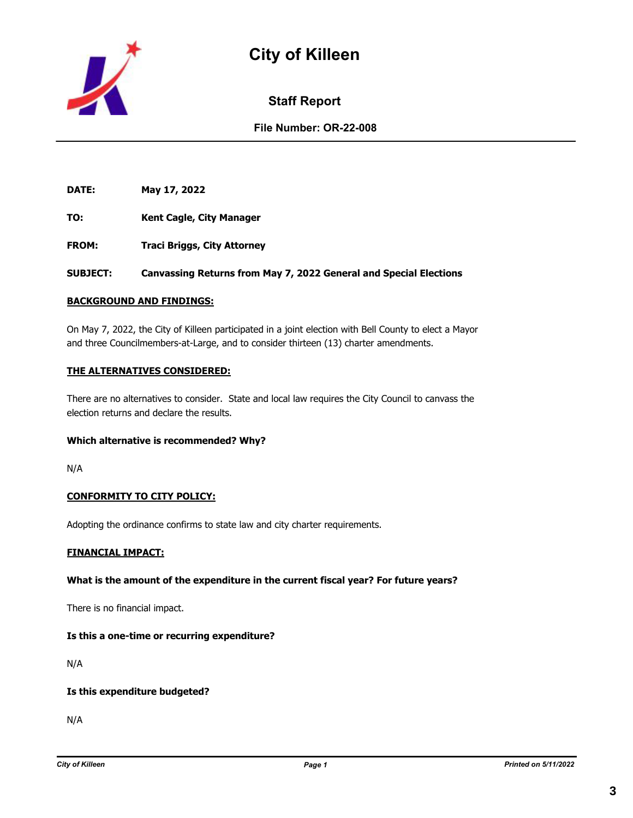



## **Staff Report**

## **File Number: OR-22-008**

**DATE: May 17, 2022**

**TO: Kent Cagle, City Manager**

**FROM: Traci Briggs, City Attorney**

**SUBJECT: Canvassing Returns from May 7, 2022 General and Special Elections**

#### **BACKGROUND AND FINDINGS:**

On May 7, 2022, the City of Killeen participated in a joint election with Bell County to elect a Mayor and three Councilmembers-at-Large, and to consider thirteen (13) charter amendments.

#### **THE ALTERNATIVES CONSIDERED:**

There are no alternatives to consider. State and local law requires the City Council to canvass the election returns and declare the results.

#### **Which alternative is recommended? Why?**

N/A

#### **CONFORMITY TO CITY POLICY:**

Adopting the ordinance confirms to state law and city charter requirements.

#### **FINANCIAL IMPACT:**

#### **What is the amount of the expenditure in the current fiscal year? For future years?**

There is no financial impact.

#### **Is this a one-time or recurring expenditure?**

N/A

#### **Is this expenditure budgeted?**

N/A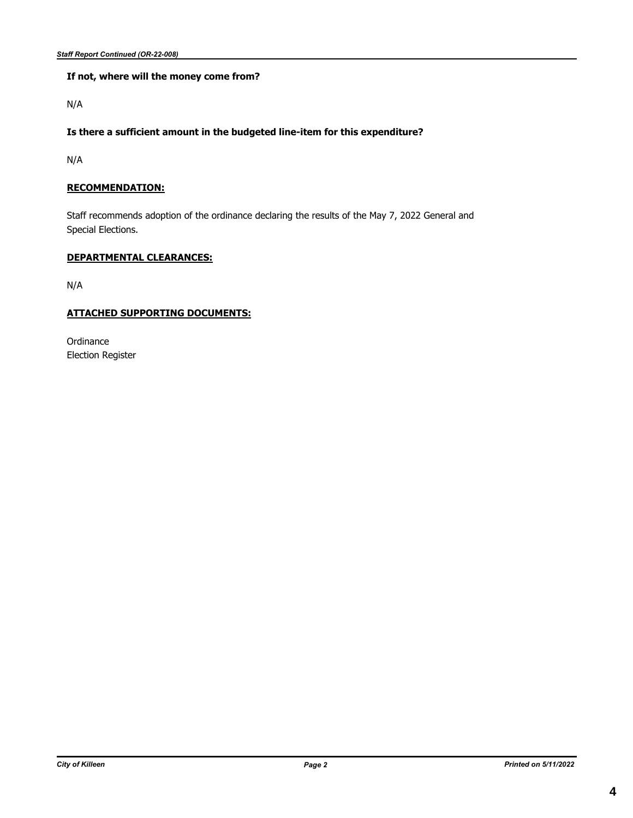#### **If not, where will the money come from?**

N/A

### **Is there a sufficient amount in the budgeted line-item for this expenditure?**

N/A

### **RECOMMENDATION:**

Staff recommends adoption of the ordinance declaring the results of the May 7, 2022 General and Special Elections.

### **DEPARTMENTAL CLEARANCES:**

N/A

#### **ATTACHED SUPPORTING DOCUMENTS:**

**Ordinance** Election Register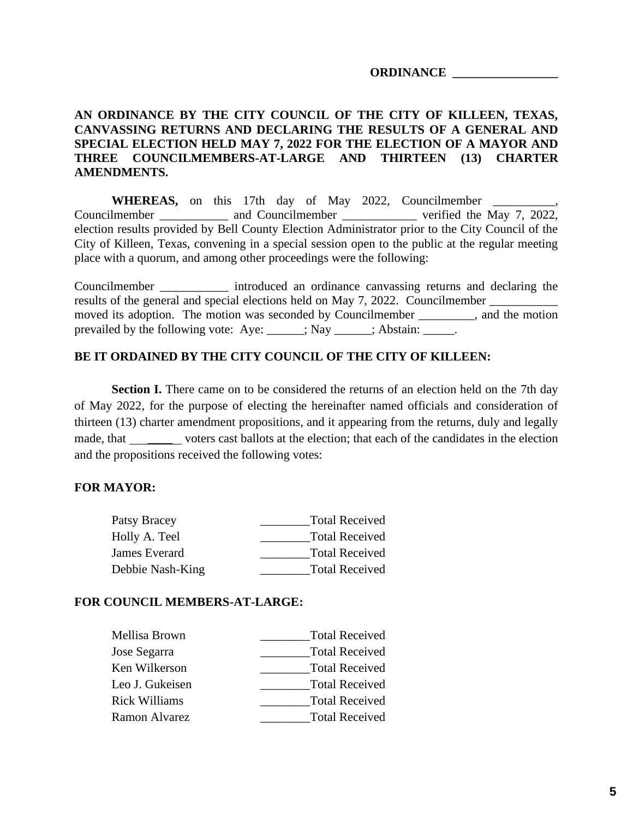## **ORDINANCE \_\_\_\_\_\_\_\_\_\_\_\_\_\_\_\_\_**

## **AN ORDINANCE BY THE CITY COUNCIL OF THE CITY OF KILLEEN, TEXAS, CANVASSING RETURNS AND DECLARING THE RESULTS OF A GENERAL AND SPECIAL ELECTION HELD MAY 7, 2022 FOR THE ELECTION OF A MAYOR AND THREE COUNCILMEMBERS-AT-LARGE AND THIRTEEN (13) CHARTER AMENDMENTS.**

WHEREAS, on this 17th day of May 2022, Councilmember Councilmember \_\_\_\_\_\_\_\_\_\_ and Councilmember \_\_\_\_\_\_\_\_\_\_\_\_\_ verified the May 7, 2022, election results provided by Bell County Election Administrator prior to the City Council of the City of Killeen, Texas, convening in a special session open to the public at the regular meeting place with a quorum, and among other proceedings were the following:

Councilmember \_\_\_\_\_\_\_\_\_\_\_ introduced an ordinance canvassing returns and declaring the results of the general and special elections held on May 7, 2022. Councilmember moved its adoption. The motion was seconded by Councilmember \_\_\_\_\_\_\_\_\_, and the motion prevailed by the following vote: Aye: \_\_\_\_\_; Nay \_\_\_\_\_; Abstain: \_\_\_\_\_.

## **BE IT ORDAINED BY THE CITY COUNCIL OF THE CITY OF KILLEEN:**

**Section I.** There came on to be considered the returns of an election held on the 7th day of May 2022, for the purpose of electing the hereinafter named officials and consideration of thirteen (13) charter amendment propositions, and it appearing from the returns, duly and legally made, that voters cast ballots at the election; that each of the candidates in the election and the propositions received the following votes:

## **FOR MAYOR:**

| <b>Total Received</b> |
|-----------------------|
| <b>Total Received</b> |
| <b>Total Received</b> |
| <b>Total Received</b> |
|                       |

## **FOR COUNCIL MEMBERS-AT-LARGE:**

| Mellisa Brown        | <b>Total Received</b> |
|----------------------|-----------------------|
| Jose Segarra         | <b>Total Received</b> |
| Ken Wilkerson        | <b>Total Received</b> |
| Leo J. Gukeisen      | <b>Total Received</b> |
| <b>Rick Williams</b> | <b>Total Received</b> |
| Ramon Alvarez        | <b>Total Received</b> |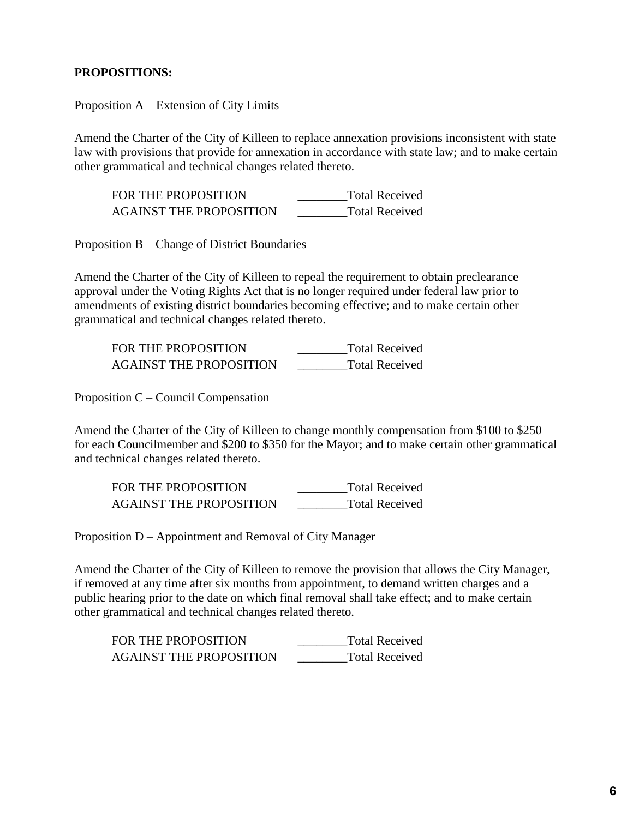## **PROPOSITIONS:**

Proposition A – Extension of City Limits

Amend the Charter of the City of Killeen to replace annexation provisions inconsistent with state law with provisions that provide for annexation in accordance with state law; and to make certain other grammatical and technical changes related thereto.

| FOR THE PROPOSITION            | <b>Total Received</b> |
|--------------------------------|-----------------------|
| <b>AGAINST THE PROPOSITION</b> | <b>Total Received</b> |

Proposition B – Change of District Boundaries

Amend the Charter of the City of Killeen to repeal the requirement to obtain preclearance approval under the Voting Rights Act that is no longer required under federal law prior to amendments of existing district boundaries becoming effective; and to make certain other grammatical and technical changes related thereto.

| FOR THE PROPOSITION            | <b>Total Received</b> |
|--------------------------------|-----------------------|
| <b>AGAINST THE PROPOSITION</b> | <b>Total Received</b> |

Proposition C – Council Compensation

Amend the Charter of the City of Killeen to change monthly compensation from \$100 to \$250 for each Councilmember and \$200 to \$350 for the Mayor; and to make certain other grammatical and technical changes related thereto.

| FOR THE PROPOSITION            | <b>Total Received</b> |
|--------------------------------|-----------------------|
| <b>AGAINST THE PROPOSITION</b> | <b>Total Received</b> |

Proposition D – Appointment and Removal of City Manager

Amend the Charter of the City of Killeen to remove the provision that allows the City Manager, if removed at any time after six months from appointment, to demand written charges and a public hearing prior to the date on which final removal shall take effect; and to make certain other grammatical and technical changes related thereto.

| FOR THE PROPOSITION            | <b>Total Received</b> |
|--------------------------------|-----------------------|
| <b>AGAINST THE PROPOSITION</b> | <b>Total Received</b> |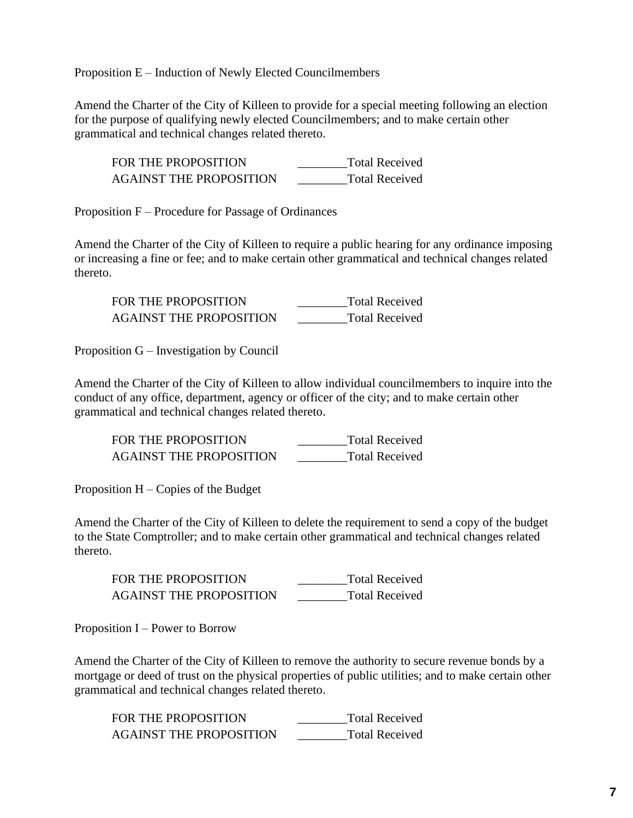Proposition E – Induction of Newly Elected Councilmembers

Amend the Charter of the City of Killeen to provide for a special meeting following an election for the purpose of qualifying newly elected Councilmembers; and to make certain other grammatical and technical changes related thereto.

| FOR THE PROPOSITION            | <b>Total Received</b> |
|--------------------------------|-----------------------|
| <b>AGAINST THE PROPOSITION</b> | <b>Total Received</b> |

Proposition F – Procedure for Passage of Ordinances

Amend the Charter of the City of Killeen to require a public hearing for any ordinance imposing or increasing a fine or fee; and to make certain other grammatical and technical changes related thereto.

| FOR THE PROPOSITION            | <b>Total Received</b> |
|--------------------------------|-----------------------|
| <b>AGAINST THE PROPOSITION</b> | <b>Total Received</b> |

Proposition G – Investigation by Council

Amend the Charter of the City of Killeen to allow individual councilmembers to inquire into the conduct of any office, department, agency or officer of the city; and to make certain other grammatical and technical changes related thereto.

FOR THE PROPOSITION \_\_\_\_\_\_\_\_\_\_\_\_Total Received AGAINST THE PROPOSITION \_\_\_\_\_\_\_\_Total Received

Proposition  $H -$ Copies of the Budget

Amend the Charter of the City of Killeen to delete the requirement to send a copy of the budget to the State Comptroller; and to make certain other grammatical and technical changes related thereto.

FOR THE PROPOSITION Total Received AGAINST THE PROPOSITION \_\_\_\_\_\_\_\_Total Received

Proposition I – Power to Borrow

Amend the Charter of the City of Killeen to remove the authority to secure revenue bonds by a mortgage or deed of trust on the physical properties of public utilities; and to make certain other grammatical and technical changes related thereto.

| FOR THE PROPOSITION     | <b>Total Received</b> |
|-------------------------|-----------------------|
| AGAINST THE PROPOSITION | <b>Total Received</b> |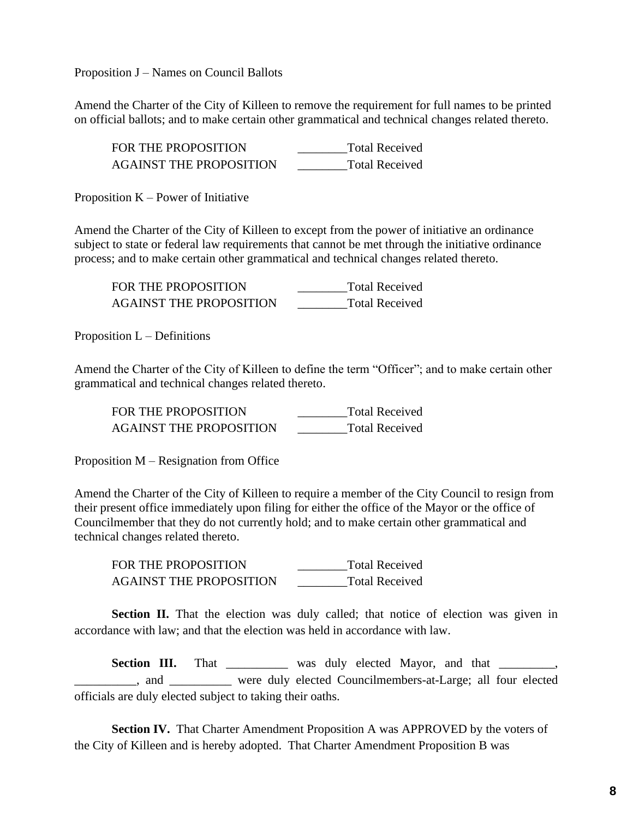Proposition J – Names on Council Ballots

Amend the Charter of the City of Killeen to remove the requirement for full names to be printed on official ballots; and to make certain other grammatical and technical changes related thereto.

| <b>FOR THE PROPOSITION</b>     | <b>Total Received</b> |
|--------------------------------|-----------------------|
| <b>AGAINST THE PROPOSITION</b> | <b>Total Received</b> |

Proposition  $K$  – Power of Initiative

Amend the Charter of the City of Killeen to except from the power of initiative an ordinance subject to state or federal law requirements that cannot be met through the initiative ordinance process; and to make certain other grammatical and technical changes related thereto.

| FOR THE PROPOSITION            | <b>Total Received</b> |
|--------------------------------|-----------------------|
| <b>AGAINST THE PROPOSITION</b> | <b>Total Received</b> |

Proposition  $L$  – Definitions

Amend the Charter of the City of Killeen to define the term "Officer"; and to make certain other grammatical and technical changes related thereto.

FOR THE PROPOSITION Total Received AGAINST THE PROPOSITION \_\_\_\_\_\_\_\_Total Received

Proposition M – Resignation from Office

Amend the Charter of the City of Killeen to require a member of the City Council to resign from their present office immediately upon filing for either the office of the Mayor or the office of Councilmember that they do not currently hold; and to make certain other grammatical and technical changes related thereto.

FOR THE PROPOSITION **The EXAM** Total Received AGAINST THE PROPOSITION \_\_\_\_\_\_\_\_Total Received

**Section II.** That the election was duly called; that notice of election was given in accordance with law; and that the election was held in accordance with law.

Section III. That \_\_\_\_\_\_\_\_\_ was duly elected Mayor, and that \_\_\_\_\_\_\_\_, and and a series were duly elected Councilmembers-at-Large; all four elected officials are duly elected subject to taking their oaths.

**Section IV.** That Charter Amendment Proposition A was APPROVED by the voters of the City of Killeen and is hereby adopted. That Charter Amendment Proposition B was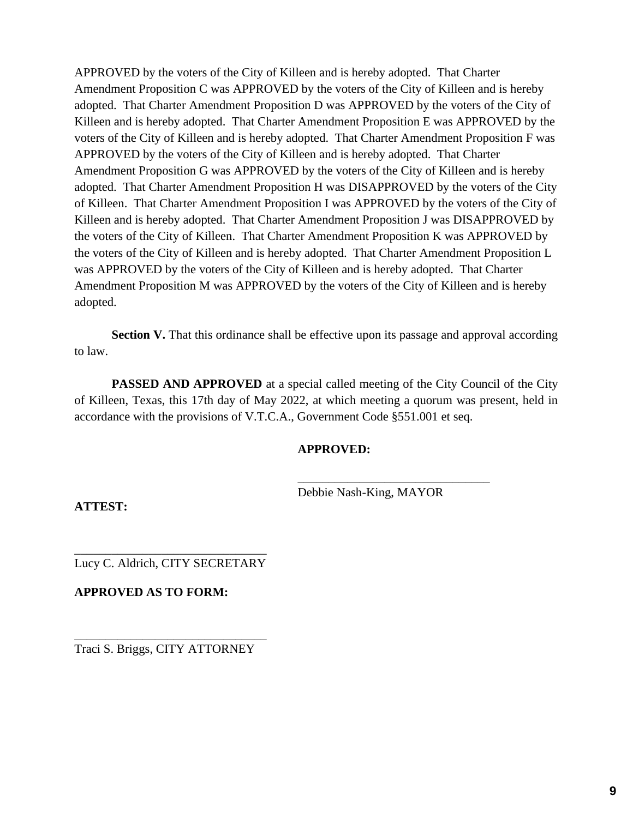APPROVED by the voters of the City of Killeen and is hereby adopted. That Charter Amendment Proposition C was APPROVED by the voters of the City of Killeen and is hereby adopted. That Charter Amendment Proposition D was APPROVED by the voters of the City of Killeen and is hereby adopted. That Charter Amendment Proposition E was APPROVED by the voters of the City of Killeen and is hereby adopted. That Charter Amendment Proposition F was APPROVED by the voters of the City of Killeen and is hereby adopted. That Charter Amendment Proposition G was APPROVED by the voters of the City of Killeen and is hereby adopted. That Charter Amendment Proposition H was DISAPPROVED by the voters of the City of Killeen. That Charter Amendment Proposition I was APPROVED by the voters of the City of Killeen and is hereby adopted. That Charter Amendment Proposition J was DISAPPROVED by the voters of the City of Killeen. That Charter Amendment Proposition K was APPROVED by the voters of the City of Killeen and is hereby adopted. That Charter Amendment Proposition L was APPROVED by the voters of the City of Killeen and is hereby adopted. That Charter Amendment Proposition M was APPROVED by the voters of the City of Killeen and is hereby adopted.

**Section V.** That this ordinance shall be effective upon its passage and approval according to law.

**PASSED AND APPROVED** at a special called meeting of the City Council of the City of Killeen, Texas, this 17th day of May 2022, at which meeting a quorum was present, held in accordance with the provisions of V.T.C.A., Government Code §551.001 et seq.

## **APPROVED:**

Debbie Nash-King, MAYOR

\_\_\_\_\_\_\_\_\_\_\_\_\_\_\_\_\_\_\_\_\_\_\_\_\_\_\_\_\_\_\_

**ATTEST:**

\_\_\_\_\_\_\_\_\_\_\_\_\_\_\_\_\_\_\_\_\_\_\_\_\_\_\_\_\_\_\_ Lucy C. Aldrich, CITY SECRETARY

**APPROVED AS TO FORM:**

\_\_\_\_\_\_\_\_\_\_\_\_\_\_\_\_\_\_\_\_\_\_\_\_\_\_\_\_\_\_\_ Traci S. Briggs, CITY ATTORNEY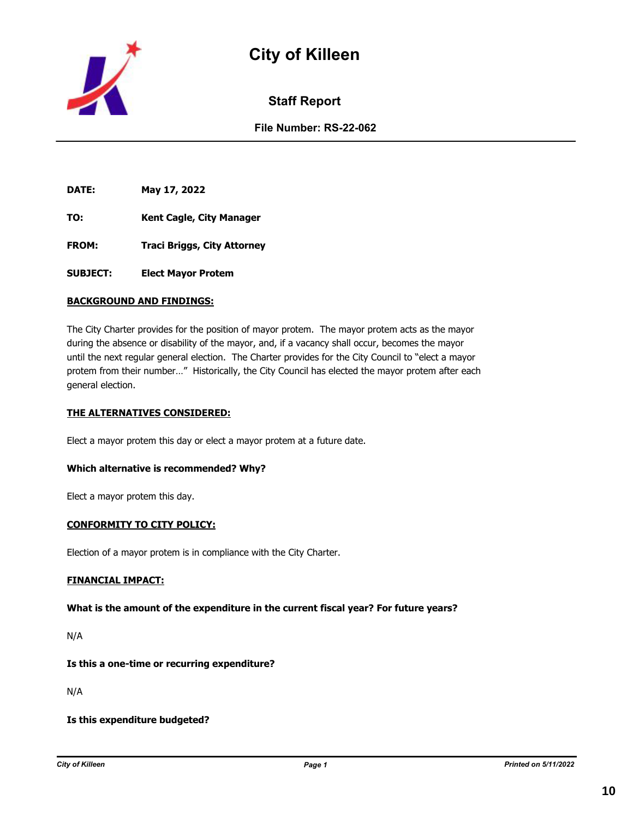



**Staff Report**

**File Number: RS-22-062**

**DATE: May 17, 2022**

- **TO: Kent Cagle, City Manager**
- **FROM: Traci Briggs, City Attorney**
- **SUBJECT: Elect Mayor Protem**

#### **BACKGROUND AND FINDINGS:**

The City Charter provides for the position of mayor protem. The mayor protem acts as the mayor during the absence or disability of the mayor, and, if a vacancy shall occur, becomes the mayor until the next regular general election. The Charter provides for the City Council to "elect a mayor protem from their number…" Historically, the City Council has elected the mayor protem after each general election.

#### **THE ALTERNATIVES CONSIDERED:**

Elect a mayor protem this day or elect a mayor protem at a future date.

#### **Which alternative is recommended? Why?**

Elect a mayor protem this day.

#### **CONFORMITY TO CITY POLICY:**

Election of a mayor protem is in compliance with the City Charter.

#### **FINANCIAL IMPACT:**

#### **What is the amount of the expenditure in the current fiscal year? For future years?**

N/A

#### **Is this a one-time or recurring expenditure?**

N/A

#### **Is this expenditure budgeted?**